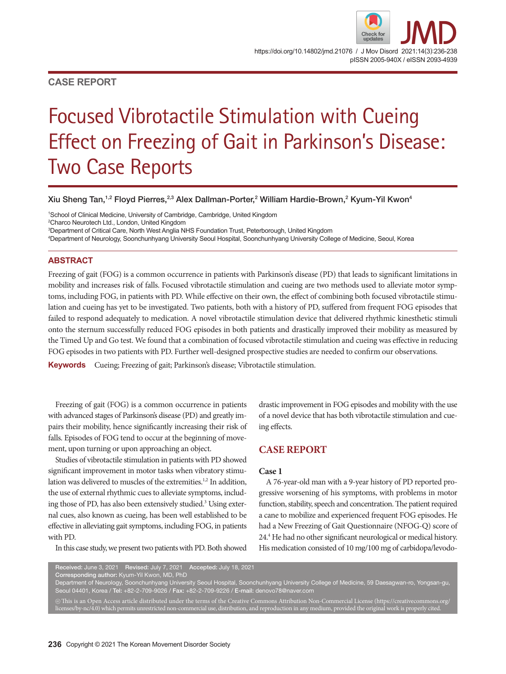# **CASE REPORT**

# Focused Vibrotactile Stimulation with Cueing Effect on Freezing of Gait in Parkinson's Disease: Two Case Reports

Xiu Sheng Tan, $^{1,2}$  Floyd Pierres, $^{2,3}$  Alex Dallman-Porter, $^2$  William Hardie-Brown, $^2$  Kyum-Yil Kwon $^4$ 

 School of Clinical Medicine, University of Cambridge, Cambridge, United Kingdom Charco Neurotech Ltd., London, United Kingdom Department of Critical Care, North West Anglia NHS Foundation Trust, Peterborough, United Kingdom Department of Neurology, Soonchunhyang University Seoul Hospital, Soonchunhyang University College of Medicine, Seoul, Korea

## **ABSTRACT**

Freezing of gait (FOG) is a common occurrence in patients with Parkinson's disease (PD) that leads to significant limitations in mobility and increases risk of falls. Focused vibrotactile stimulation and cueing are two methods used to alleviate motor symptoms, including FOG, in patients with PD. While effective on their own, the effect of combining both focused vibrotactile stimulation and cueing has yet to be investigated. Two patients, both with a history of PD, suffered from frequent FOG episodes that failed to respond adequately to medication. A novel vibrotactile stimulation device that delivered rhythmic kinesthetic stimuli onto the sternum successfully reduced FOG episodes in both patients and drastically improved their mobility as measured by the Timed Up and Go test. We found that a combination of focused vibrotactile stimulation and cueing was effective in reducing FOG episodes in two patients with PD. Further well-designed prospective studies are needed to confirm our observations.

**Keywords** Cueing; Freezing of gait; Parkinson's disease; Vibrotactile stimulation.

Freezing of gait (FOG) is a common occurrence in patients with advanced stages of Parkinson's disease (PD) and greatly impairs their mobility, hence significantly increasing their risk of falls. Episodes of FOG tend to occur at the beginning of movement, upon turning or upon approaching an object.

Studies of vibrotactile stimulation in patients with PD showed significant improvement in motor tasks when vibratory stimulation was delivered to muscles of the extremities.<sup>1,2</sup> In addition, the use of external rhythmic cues to alleviate symptoms, including those of PD, has also been extensively studied.<sup>3</sup> Using external cues, also known as cueing, has been well established to be effective in alleviating gait symptoms, including FOG, in patients with PD.

In this case study, we present two patients with PD. Both showed

drastic improvement in FOG episodes and mobility with the use of a novel device that has both vibrotactile stimulation and cueing effects.

# **CASE REPORT**

### **Case 1**

A 76-year-old man with a 9-year history of PD reported progressive worsening of his symptoms, with problems in motor function, stability, speech and concentration. The patient required a cane to mobilize and experienced frequent FOG episodes. He had a New Freezing of Gait Questionnaire (NFOG-Q) score of 24.4 He had no other significant neurological or medical history. His medication consisted of 10 mg/100 mg of carbidopa/levodo-

Received: June 3, 2021 Revised: July 7, 2021 Accepted: July 18, 2021

Corresponding author: Kyum-Yil Kwon, MD, PhD

Department of Neurology, Soonchunhyang University Seoul Hospital, Soonchunhyang University College of Medicine, 59 Daesagwan-ro, Yongsan-gu, Seoul 04401, Korea / Tel: +82-2-709-9026 / Fax: +82-2-709-9226 / E-mail: denovo78@naver.com

 $\circledcirc$  This is an Open Access article distributed under the terms of the Creative Commons Attribution Non-Commercial License (https://creativecommons.org/ licenses/by-nc/4.0) which permits unrestricted non-commercial use, distribution, and reproduction in any medium, provided the original work is properly cited.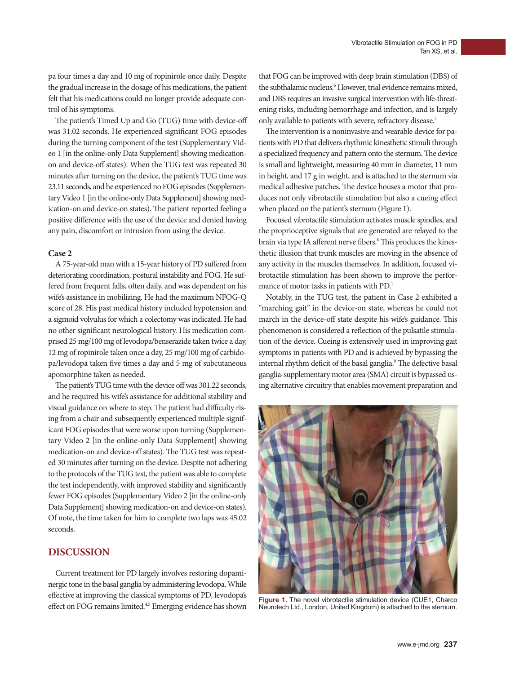pa four times a day and 10 mg of ropinirole once daily. Despite the gradual increase in the dosage of his medications, the patient felt that his medications could no longer provide adequate control of his symptoms.

The patient's Timed Up and Go (TUG) time with device-off was 31.02 seconds. He experienced significant FOG episodes during the turning component of the test (Supplementary Video 1 [in the online-only Data Supplement] showing medicationon and device-off states). When the TUG test was repeated 30 minutes after turning on the device, the patient's TUG time was 23.11 seconds, and he experienced no FOG episodes (Supplementary Video 1 [in the online-only Data Supplement] showing medication-on and device-on states). The patient reported feeling a positive difference with the use of the device and denied having any pain, discomfort or intrusion from using the device.

## **Case 2**

A 75-year-old man with a 15-year history of PD suffered from deteriorating coordination, postural instability and FOG. He suffered from frequent falls, often daily, and was dependent on his wife's assistance in mobilizing. He had the maximum NFOG-Q score of 28. His past medical history included hypotension and a sigmoid volvulus for which a colectomy was indicated. He had no other significant neurological history. His medication comprised 25 mg/100 mg of levodopa/benserazide taken twice a day, 12 mg of ropinirole taken once a day, 25 mg/100 mg of carbidopa/levodopa taken five times a day and 5 mg of subcutaneous apomorphine taken as needed.

The patient's TUG time with the device off was 301.22 seconds, and he required his wife's assistance for additional stability and visual guidance on where to step. The patient had difficulty rising from a chair and subsequently experienced multiple significant FOG episodes that were worse upon turning (Supplementary Video 2 [in the online-only Data Supplement] showing medication-on and device-off states). The TUG test was repeated 30 minutes after turning on the device. Despite not adhering to the protocols of the TUG test, the patient was able to complete the test independently, with improved stability and significantly fewer FOG episodes (Supplementary Video 2 [in the online-only Data Supplement] showing medication-on and device-on states). Of note, the time taken for him to complete two laps was 45.02 seconds.

# **DISCUSSION**

Current treatment for PD largely involves restoring dopaminergic tone in the basal ganglia by administering levodopa. While effective at improving the classical symptoms of PD, levodopa's effect on FOG remains limited.<sup>4,5</sup> Emerging evidence has shown that FOG can be improved with deep brain stimulation (DBS) of the subthalamic nucleus.<sup>6</sup> However, trial evidence remains mixed, and DBS requires an invasive surgical intervention with life-threatening risks, including hemorrhage and infection, and is largely only available to patients with severe, refractory disease.7

The intervention is a noninvasive and wearable device for patients with PD that delivers rhythmic kinesthetic stimuli through a specialized frequency and pattern onto the sternum. The device is small and lightweight, measuring 40 mm in diameter, 11 mm in height, and 17 g in weight, and is attached to the sternum via medical adhesive patches. The device houses a motor that produces not only vibrotactile stimulation but also a cueing effect when placed on the patient's sternum (Figure 1).

Focused vibrotactile stimulation activates muscle spindles, and the proprioceptive signals that are generated are relayed to the brain via type IA afferent nerve fibers.<sup>8</sup> This produces the kinesthetic illusion that trunk muscles are moving in the absence of any activity in the muscles themselves. In addition, focused vibrotactile stimulation has been shown to improve the performance of motor tasks in patients with PD.<sup>1</sup>

Notably, in the TUG test, the patient in Case 2 exhibited a "marching gait" in the device-on state, whereas he could not march in the device-off state despite his wife's guidance. This phenomenon is considered a reflection of the pulsatile stimulation of the device. Cueing is extensively used in improving gait symptoms in patients with PD and is achieved by bypassing the internal rhythm deficit of the basal ganglia.<sup>9</sup> The defective basal ganglia-supplementary motor area (SMA) circuit is bypassed using alternative circuitry that enables movement preparation and



**Figure 1.** The novel vibrotactile stimulation device (CUE1, Charco Neurotech Ltd., London, United Kingdom) is attached to the sternum.